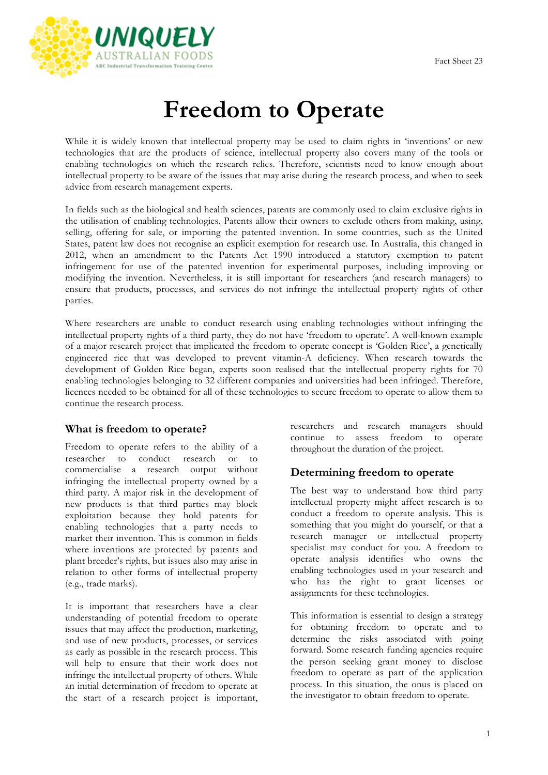

# **Freedom to Operate**

While it is widely known that intellectual property may be used to claim rights in 'inventions' or new technologies that are the products of science, intellectual property also covers many of the tools or enabling technologies on which the research relies. Therefore, scientists need to know enough about intellectual property to be aware of the issues that may arise during the research process, and when to seek advice from research management experts.

In fields such as the biological and health sciences, patents are commonly used to claim exclusive rights in the utilisation of enabling technologies. Patents allow their owners to exclude others from making, using, selling, offering for sale, or importing the patented invention. In some countries, such as the United States, patent law does not recognise an explicit exemption for research use. In Australia, this changed in 2012, when an amendment to the Patents Act 1990 introduced a statutory exemption to patent infringement for use of the patented invention for experimental purposes, including improving or modifying the invention. Nevertheless, it is still important for researchers (and research managers) to ensure that products, processes, and services do not infringe the intellectual property rights of other parties.

Where researchers are unable to conduct research using enabling technologies without infringing the intellectual property rights of a third party, they do not have 'freedom to operate'. A well-known example of a major research project that implicated the freedom to operate concept is 'Golden Rice', a genetically engineered rice that was developed to prevent vitamin-A deficiency. When research towards the development of Golden Rice began, experts soon realised that the intellectual property rights for 70 enabling technologies belonging to 32 different companies and universities had been infringed. Therefore, licences needed to be obtained for all of these technologies to secure freedom to operate to allow them to continue the research process.

## **What is freedom to operate?**

Freedom to operate refers to the ability of a researcher to conduct research or to commercialise a research output without infringing the intellectual property owned by a third party. A major risk in the development of new products is that third parties may block exploitation because they hold patents for enabling technologies that a party needs to market their invention. This is common in fields where inventions are protected by patents and plant breeder's rights, but issues also may arise in relation to other forms of intellectual property (e.g., trade marks).

It is important that researchers have a clear understanding of potential freedom to operate issues that may affect the production, marketing, and use of new products, processes, or services as early as possible in the research process. This will help to ensure that their work does not infringe the intellectual property of others. While an initial determination of freedom to operate at the start of a research project is important, researchers and research managers should continue to assess freedom to operate throughout the duration of the project.

## **Determining freedom to operate**

The best way to understand how third party intellectual property might affect research is to conduct a freedom to operate analysis. This is something that you might do yourself, or that a research manager or intellectual property specialist may conduct for you. A freedom to operate analysis identifies who owns the enabling technologies used in your research and who has the right to grant licenses or assignments for these technologies.

This information is essential to design a strategy for obtaining freedom to operate and to determine the risks associated with going forward. Some research funding agencies require the person seeking grant money to disclose freedom to operate as part of the application process. In this situation, the onus is placed on the investigator to obtain freedom to operate.